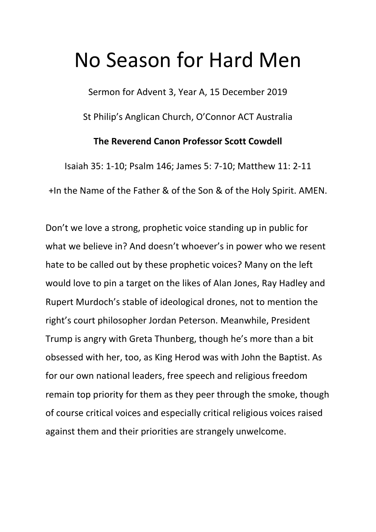## No Season for Hard Men

Sermon for Advent 3, Year A, 15 December 2019

St Philip's Anglican Church, O'Connor ACT Australia

## **The Reverend Canon Professor Scott Cowdell**

Isaiah 35: 1-10; Psalm 146; James 5: 7-10; Matthew 11: 2-11 +In the Name of the Father & of the Son & of the Holy Spirit. AMEN.

Don't we love a strong, prophetic voice standing up in public for what we believe in? And doesn't whoever's in power who we resent hate to be called out by these prophetic voices? Many on the left would love to pin a target on the likes of Alan Jones, Ray Hadley and Rupert Murdoch's stable of ideological drones, not to mention the right's court philosopher Jordan Peterson. Meanwhile, President Trump is angry with Greta Thunberg, though he's more than a bit obsessed with her, too, as King Herod was with John the Baptist. As for our own national leaders, free speech and religious freedom remain top priority for them as they peer through the smoke, though of course critical voices and especially critical religious voices raised against them and their priorities are strangely unwelcome.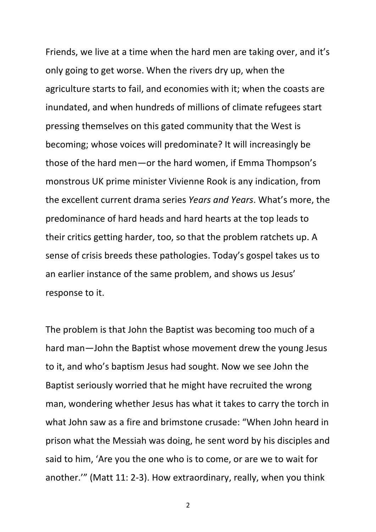Friends, we live at a time when the hard men are taking over, and it's only going to get worse. When the rivers dry up, when the agriculture starts to fail, and economies with it; when the coasts are inundated, and when hundreds of millions of climate refugees start pressing themselves on this gated community that the West is becoming; whose voices will predominate? It will increasingly be those of the hard men—or the hard women, if Emma Thompson's monstrous UK prime minister Vivienne Rook is any indication, from the excellent current drama series *Years and Years*. What's more, the predominance of hard heads and hard hearts at the top leads to their critics getting harder, too, so that the problem ratchets up. A sense of crisis breeds these pathologies. Today's gospel takes us to an earlier instance of the same problem, and shows us Jesus' response to it.

The problem is that John the Baptist was becoming too much of a hard man—John the Baptist whose movement drew the young Jesus to it, and who's baptism Jesus had sought. Now we see John the Baptist seriously worried that he might have recruited the wrong man, wondering whether Jesus has what it takes to carry the torch in what John saw as a fire and brimstone crusade: "When John heard in prison what the Messiah was doing, he sent word by his disciples and said to him, 'Are you the one who is to come, or are we to wait for another.'" (Matt 11: 2-3). How extraordinary, really, when you think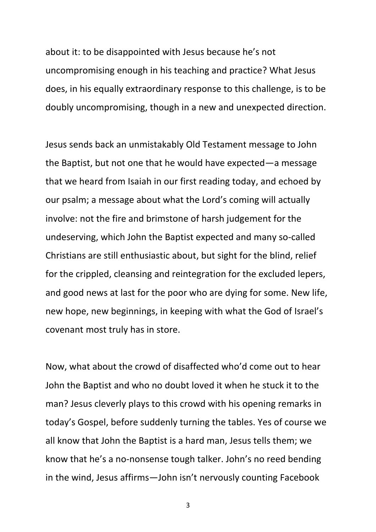about it: to be disappointed with Jesus because he's not uncompromising enough in his teaching and practice? What Jesus does, in his equally extraordinary response to this challenge, is to be doubly uncompromising, though in a new and unexpected direction.

Jesus sends back an unmistakably Old Testament message to John the Baptist, but not one that he would have expected—a message that we heard from Isaiah in our first reading today, and echoed by our psalm; a message about what the Lord's coming will actually involve: not the fire and brimstone of harsh judgement for the undeserving, which John the Baptist expected and many so-called Christians are still enthusiastic about, but sight for the blind, relief for the crippled, cleansing and reintegration for the excluded lepers, and good news at last for the poor who are dying for some. New life, new hope, new beginnings, in keeping with what the God of Israel's covenant most truly has in store.

Now, what about the crowd of disaffected who'd come out to hear John the Baptist and who no doubt loved it when he stuck it to the man? Jesus cleverly plays to this crowd with his opening remarks in today's Gospel, before suddenly turning the tables. Yes of course we all know that John the Baptist is a hard man, Jesus tells them; we know that he's a no-nonsense tough talker. John's no reed bending in the wind, Jesus affirms—John isn't nervously counting Facebook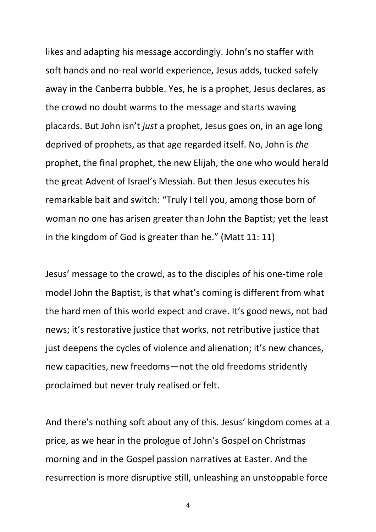likes and adapting his message accordingly. John's no staffer with soft hands and no-real world experience, Jesus adds, tucked safely away in the Canberra bubble. Yes, he is a prophet, Jesus declares, as the crowd no doubt warms to the message and starts waving placards. But John isn't *just* a prophet, Jesus goes on, in an age long deprived of prophets, as that age regarded itself. No, John is *the* prophet, the final prophet, the new Elijah, the one who would herald the great Advent of Israel's Messiah. But then Jesus executes his remarkable bait and switch: "Truly I tell you, among those born of woman no one has arisen greater than John the Baptist; yet the least in the kingdom of God is greater than he." (Matt 11: 11)

Jesus' message to the crowd, as to the disciples of his one-time role model John the Baptist, is that what's coming is different from what the hard men of this world expect and crave. It's good news, not bad news; it's restorative justice that works, not retributive justice that just deepens the cycles of violence and alienation; it's new chances, new capacities, new freedoms—not the old freedoms stridently proclaimed but never truly realised or felt.

And there's nothing soft about any of this. Jesus' kingdom comes at a price, as we hear in the prologue of John's Gospel on Christmas morning and in the Gospel passion narratives at Easter. And the resurrection is more disruptive still, unleashing an unstoppable force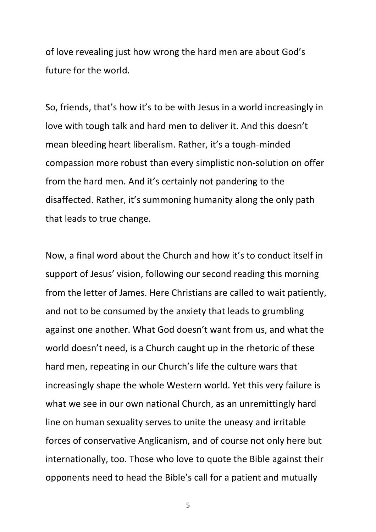of love revealing just how wrong the hard men are about God's future for the world.

So, friends, that's how it's to be with Jesus in a world increasingly in love with tough talk and hard men to deliver it. And this doesn't mean bleeding heart liberalism. Rather, it's a tough-minded compassion more robust than every simplistic non-solution on offer from the hard men. And it's certainly not pandering to the disaffected. Rather, it's summoning humanity along the only path that leads to true change.

Now, a final word about the Church and how it's to conduct itself in support of Jesus' vision, following our second reading this morning from the letter of James. Here Christians are called to wait patiently, and not to be consumed by the anxiety that leads to grumbling against one another. What God doesn't want from us, and what the world doesn't need, is a Church caught up in the rhetoric of these hard men, repeating in our Church's life the culture wars that increasingly shape the whole Western world. Yet this very failure is what we see in our own national Church, as an unremittingly hard line on human sexuality serves to unite the uneasy and irritable forces of conservative Anglicanism, and of course not only here but internationally, too. Those who love to quote the Bible against their opponents need to head the Bible's call for a patient and mutually